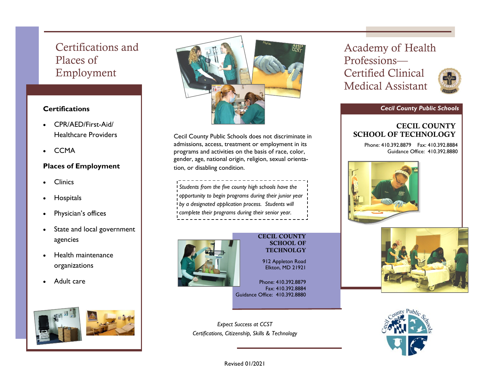# Certifications and Places of Employment

## **Certifications**

- CPR/AED/First-Aid/ Healthcare Providers
- **CCMA**

### **Places of Employment**

- **Clinics**
- **Hospitals**
- Physician's offices
- State and local government agencies
- Health maintenance organizations
- Adult care





Cecil County Public Schools does not discriminate in admissions, access, treatment or employment in its programs and activities on the basis of race, color, gender, age, national origin, religion, sexual orientation, or disabling condition.

*Students from the five county high schools have the opportunity to begin programs during their junior year by a designated application process. Students will complete their programs during their senior year.*



#### CECIL COUNTY SCHOOL OF **TECHNOLGY**

912 Appleton Road Elkton, MD 21921

Phone: 410.392.8879 Fax: 410.392.8884 Guidance Office: 410.392.8880

*Expect Success at CCST Certifications, Citizenship, Skills & Technology* Academy of Health Professions— Certified Clinical Medical Assistant



#### *Cecil County Public Schools*

# CECIL COUNTY SCHOOL OF TECHNOLOGY

Phone: 410.392.8879 Fax: 410.392.8884 Guidance Office: 410.392.8880







Revised 01/2021